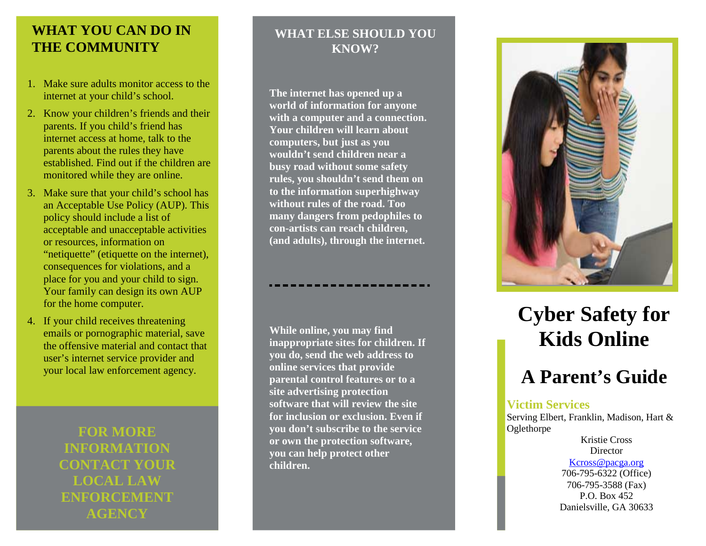### **WHAT YOU CAN DO IN THE COMMUNITY**

- 1. Make sure adults monitor access to the internet at your child's school.
- 2. Know your children's friends and their parents. If you child's friend has internet access at home, talk to the parents about the rules they have established. Find out if the children are monitored while they are online.
- 3. Make sure that your child's school has an Acceptable Use Policy (AUP). This policy should include a list of acceptable and unacceptable activities or resources, information on "netiquette" (etiquette on the internet), consequences for violations, and a place for you and your child to sign. Your family can design its own AUP for the home computer.
- 4. If your child receives threatening emails or pornographic material, save the offensive material and contact that user's internet service provider and your local law enforcement agency.

**FOR MORE INFORMATION CONTACT YOUR LOCAL LAW ENFORCEMENT AGENCY**

### **WHAT ELSE SHOULD YOU KNOW?**

**The internet has opened up a world of information for anyone with a computer and a connection. Your children will learn about computers, but just as you wouldn't send children near a busy road without some safety rules, you shouldn't send them on to the information superhighway without rules of the road. Too many dangers from pedophiles to con -artists can reach children, (and adults), through the internet.**

**While online, you may find inappropriate sites for children. If you do, send the web address to online services that provide parental control features or to a site advertising protection software that will review the site for inclusion or exclusion. Even if you don't subscribe to the service or own the protection software, you can help protect other children.** 



# **Cyber Safety for Kids Online**

## **A Parent's Guide**

#### **Victim Services**

Serving Elbert, Franklin, Madison, Hart & **Oglethorpe** 

> Kristie Cross **Director**

#### [Kcross@pacga.org](mailto:Kcross@pacga.org)

706 -795 -6322 (Office) 706 -795 -3588 (Fax) P.O. Box 452 Danielsville, GA 30633